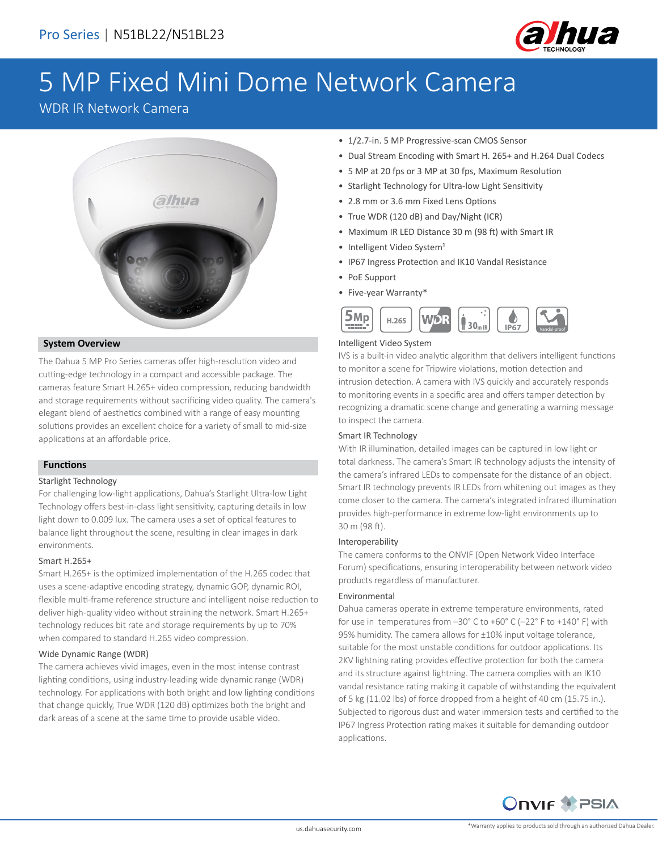

# 5 MP Fixed Mini Dome Network Camera

## WDR IR Network Camera



#### **System Overview**

The Dahua 5 MP Pro Series cameras offer high-resolution video and cutting-edge technology in a compact and accessible package. The cameras feature Smart H.265+ video compression, reducing bandwidth and storage requirements without sacrificing video quality. The camera's elegant blend of aesthetics combined with a range of easy mounting solutions provides an excellent choice for a variety of small to mid-size applications at an affordable price.

#### **Functions**

#### Starlight Technology

For challenging low-light applications, Dahua's Starlight Ultra-low Light Technology offers best-in-class light sensitivity, capturing details in low light down to 0.009 lux. The camera uses a set of optical features to balance light throughout the scene, resulting in clear images in dark environments.

#### Smart H.265+

Smart H.265+ is the optimized implementation of the H.265 codec that uses a scene-adaptive encoding strategy, dynamic GOP, dynamic ROI, flexible multi-frame reference structure and intelligent noise reduction to deliver high-quality video without straining the network. Smart H.265+ technology reduces bit rate and storage requirements by up to 70% when compared to standard H.265 video compression.

#### Wide Dynamic Range (WDR)

The camera achieves vivid images, even in the most intense contrast lighting conditions, using industry-leading wide dynamic range (WDR) technology. For applications with both bright and low lighting conditions that change quickly, True WDR (120 dB) optimizes both the bright and dark areas of a scene at the same time to provide usable video.

- 1/2.7-in. 5 MP Progressive-scan CMOS Sensor
- Dual Stream Encoding with Smart H. 265+ and H.264 Dual Codecs
- 5 MP at 20 fps or 3 MP at 30 fps, Maximum Resolution
- Starlight Technology for Ultra-low Light Sensitivity
- 2.8 mm or 3.6 mm Fixed Lens Options
- True WDR (120 dB) and Day/Night (ICR)
- Maximum IR LED Distance 30 m (98 ft) with Smart IR
- Intelligent Video System<sup>1</sup>
- IP67 Ingress Protection and IK10 Vandal Resistance
- PoE Support
- Five-year Warranty\*



#### Intelligent Video System

IVS is a built-in video analytic algorithm that delivers intelligent functions to monitor a scene for Tripwire violations, motion detection and intrusion detection. A camera with IVS quickly and accurately responds to monitoring events in a specific area and offers tamper detection by recognizing a dramatic scene change and generating a warning message to inspect the camera.

#### Smart IR Technology

With IR illumination, detailed images can be captured in low light or total darkness. The camera's Smart IR technology adjusts the intensity of the camera's infrared LEDs to compensate for the distance of an object. Smart IR technology prevents IR LEDs from whitening out images as they come closer to the camera. The camera's integrated infrared illumination provides high-performance in extreme low-light environments up to 30 m (98 ft).

#### Interoperability

The camera conforms to the ONVIF (Open Network Video Interface Forum) specifications, ensuring interoperability between network video products regardless of manufacturer.

#### Environmental

Dahua cameras operate in extreme temperature environments, rated for use in temperatures from –30° C to +60° C (–22° F to +140° F) with 95% humidity. The camera allows for ±10% input voltage tolerance, suitable for the most unstable conditions for outdoor applications. Its 2KV lightning rating provides effective protection for both the camera and its structure against lightning. The camera complies with an IK10 vandal resistance rating making it capable of withstanding the equivalent of 5 kg (11.02 lbs) of force dropped from a height of 40 cm (15.75 in.). Subjected to rigorous dust and water immersion tests and certified to the IP67 Ingress Protection rating makes it suitable for demanding outdoor applications.

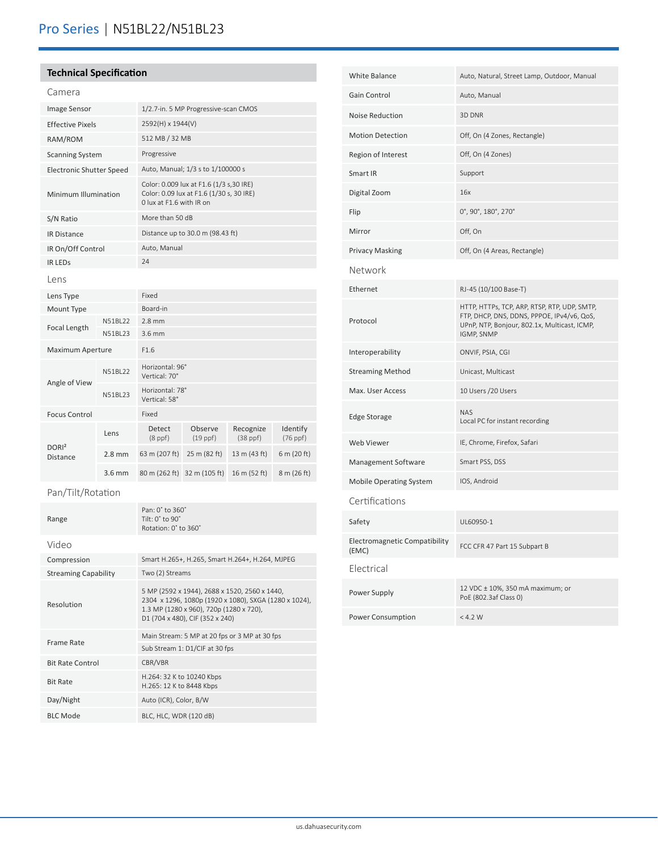## Pro Series | N51BL22/N51BL23

### **Technical Specification**

| <b>Image Sensor</b>                  |          | 1/2.7-in. 5 MP Progressive-scan CMOS                                                                            |                                  |                            |                           |  |
|--------------------------------------|----------|-----------------------------------------------------------------------------------------------------------------|----------------------------------|----------------------------|---------------------------|--|
| <b>Effective Pixels</b>              |          | 2592(H) x 1944(V)                                                                                               |                                  |                            |                           |  |
| RAM/ROM                              |          | 512 MB / 32 MB                                                                                                  |                                  |                            |                           |  |
| <b>Scanning System</b>               |          | Progressive                                                                                                     |                                  |                            |                           |  |
| <b>Electronic Shutter Speed</b>      |          | Auto, Manual; 1/3 s to 1/100000 s                                                                               |                                  |                            |                           |  |
| Minimum Illumination                 |          | Color: 0.009 lux at F1.6 (1/3 s,30 IRE)<br>Color: 0.09 lux at F1.6 (1/30 s, 30 IRE)<br>0 lux at F1.6 with IR on |                                  |                            |                           |  |
| S/N Ratio                            |          | More than 50 dB                                                                                                 |                                  |                            |                           |  |
| <b>IR Distance</b>                   |          |                                                                                                                 | Distance up to 30.0 m (98.43 ft) |                            |                           |  |
| IR On/Off Control                    |          |                                                                                                                 | Auto, Manual                     |                            |                           |  |
| <b>IR LEDS</b>                       |          | 24                                                                                                              |                                  |                            |                           |  |
| Lens                                 |          |                                                                                                                 |                                  |                            |                           |  |
| Lens Type                            |          | Fixed                                                                                                           |                                  |                            |                           |  |
| Mount Type                           |          | Board-in                                                                                                        |                                  |                            |                           |  |
| Focal Length                         | N51BI22  | $2.8$ mm                                                                                                        |                                  |                            |                           |  |
|                                      | N51BL23  | $3.6$ mm                                                                                                        |                                  |                            |                           |  |
| Maximum Aperture                     |          | F1.6                                                                                                            |                                  |                            |                           |  |
| Angle of View                        | N51BL22  | Horizontal: 96°<br>Vertical: 70°                                                                                |                                  |                            |                           |  |
|                                      | N51BL23  | Horizontal: 78°<br>Vertical: 58°                                                                                |                                  |                            |                           |  |
| <b>Focus Control</b>                 |          | Fixed                                                                                                           |                                  |                            |                           |  |
| DORI <sup>2</sup><br><b>Distance</b> | Lens     | Detect<br>(8 ppf)                                                                                               | Observe<br>$(19$ ppf)            | Recognize<br>$(38$ ppf $)$ | Identify<br>$(76$ ppf $)$ |  |
|                                      | $2.8$ mm | 63 m (207 ft)                                                                                                   | 25 m (82 ft)                     | 13 m (43 ft)               | 6 m (20 ft)               |  |
|                                      | $3.6$ mm | 80 m (262 ft)                                                                                                   | 32 m (105 ft)                    | 16 m (52 ft)               | 8 m (26 ft)               |  |
| Pan/Tilt/Rotation                    |          |                                                                                                                 |                                  |                            |                           |  |
| Range                                |          | Pan: 0° to 360°<br>Tilt: $0^{\circ}$ to $90^{\circ}$<br>Rotation: 0° to 360°                                    |                                  |                            |                           |  |
|                                      |          |                                                                                                                 |                                  |                            |                           |  |

| Video                       |                                                                                                                                                                                      |  |  |
|-----------------------------|--------------------------------------------------------------------------------------------------------------------------------------------------------------------------------------|--|--|
| Compression                 | Smart H.265+, H.265, Smart H.264+, H.264, MJPEG                                                                                                                                      |  |  |
| <b>Streaming Capability</b> | Two (2) Streams                                                                                                                                                                      |  |  |
| Resolution                  | 5 MP (2592 x 1944), 2688 x 1520, 2560 x 1440,<br>2304 x 1296, 1080p (1920 x 1080), SXGA (1280 x 1024),<br>1.3 MP (1280 x 960), 720p (1280 x 720),<br>D1 (704 x 480), CIF (352 x 240) |  |  |
| Frame Rate                  | Main Stream: 5 MP at 20 fps or 3 MP at 30 fps                                                                                                                                        |  |  |
|                             | Sub Stream 1: D1/CIF at 30 fps                                                                                                                                                       |  |  |
| <b>Bit Rate Control</b>     | CBR/VBR                                                                                                                                                                              |  |  |
| <b>Bit Rate</b>             | H.264: 32 K to 10240 Kbps<br>H.265: 12 K to 8448 Kbps                                                                                                                                |  |  |
| Day/Night                   | Auto (ICR), Color, B/W                                                                                                                                                               |  |  |
| <b>BLC Mode</b>             | BLC, HLC, WDR (120 dB)                                                                                                                                                               |  |  |
|                             |                                                                                                                                                                                      |  |  |

| <b>White Balance</b>                   | Auto, Natural, Street Lamp, Outdoor, Manual                                                                                                              |  |  |  |
|----------------------------------------|----------------------------------------------------------------------------------------------------------------------------------------------------------|--|--|--|
| <b>Gain Control</b>                    | Auto, Manual                                                                                                                                             |  |  |  |
| <b>Noise Reduction</b>                 | 3D DNR                                                                                                                                                   |  |  |  |
| <b>Motion Detection</b>                | Off, On (4 Zones, Rectangle)                                                                                                                             |  |  |  |
| Region of Interest                     | Off, On (4 Zones)                                                                                                                                        |  |  |  |
| Smart IR                               | Support                                                                                                                                                  |  |  |  |
| Digital Zoom                           | 16x                                                                                                                                                      |  |  |  |
| Flip                                   | 0°, 90°, 180°, 270°                                                                                                                                      |  |  |  |
| Mirror                                 | Off, On                                                                                                                                                  |  |  |  |
| <b>Privacy Masking</b>                 | Off, On (4 Areas, Rectangle)                                                                                                                             |  |  |  |
| Network                                |                                                                                                                                                          |  |  |  |
| Ethernet                               | RJ-45 (10/100 Base-T)                                                                                                                                    |  |  |  |
| Protocol                               | HTTP, HTTPs, TCP, ARP, RTSP, RTP, UDP, SMTP,<br>FTP, DHCP, DNS, DDNS, PPPOE, IPv4/v6, QoS,<br>UPnP, NTP, Bonjour, 802.1x, Multicast, ICMP,<br>IGMP, SNMP |  |  |  |
| Interoperability                       | ONVIF, PSIA, CGI                                                                                                                                         |  |  |  |
| <b>Streaming Method</b>                | Unicast, Multicast                                                                                                                                       |  |  |  |
| Max. User Access                       | 10 Users / 20 Users                                                                                                                                      |  |  |  |
| <b>Edge Storage</b>                    | <b>NAS</b><br>Local PC for instant recording                                                                                                             |  |  |  |
| Web Viewer                             | IE, Chrome, Firefox, Safari                                                                                                                              |  |  |  |
| Management Software                    | Smart PSS, DSS                                                                                                                                           |  |  |  |
| <b>Mobile Operating System</b>         | IOS, Android                                                                                                                                             |  |  |  |
| Certifications                         |                                                                                                                                                          |  |  |  |
| Safety                                 | UL60950-1                                                                                                                                                |  |  |  |
| Electromagnetic Compatibility<br>(EMC) | FCC CFR 47 Part 15 Subpart B                                                                                                                             |  |  |  |
| Flectrical                             |                                                                                                                                                          |  |  |  |
| Power Supply                           | 12 VDC ± 10%, 350 mA maximum; or<br>PoE (802.3af Class 0)                                                                                                |  |  |  |
| <b>Power Consumption</b>               | < 4.2 W                                                                                                                                                  |  |  |  |